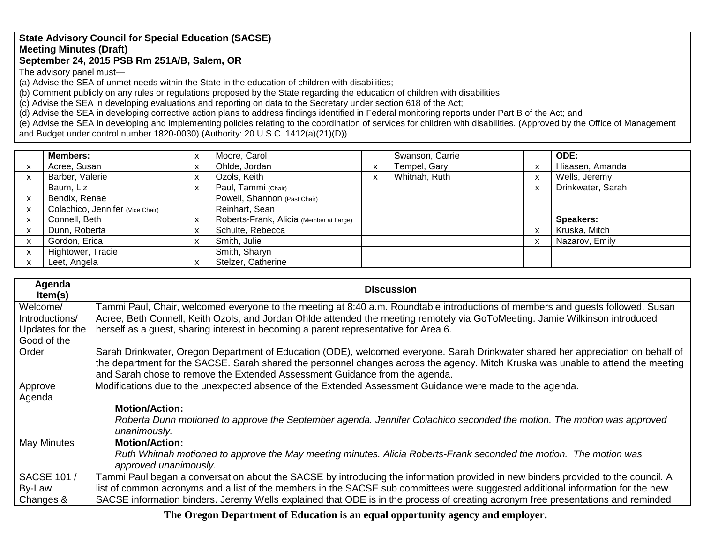## **State Advisory Council for Special Education (SACSE) Meeting Minutes (Draft) September 24, 2015 PSB Rm 251A/B, Salem, OR**

The advisory panel must—

(a) Advise the SEA of unmet needs within the State in the education of children with disabilities;

(b) Comment publicly on any rules or regulations proposed by the State regarding the education of children with disabilities;

(c) Advise the SEA in developing evaluations and reporting on data to the Secretary under section 618 of the Act;

(d) Advise the SEA in developing corrective action plans to address findings identified in Federal monitoring reports under Part B of the Act; and

(e) Advise the SEA in developing and implementing policies relating to the coordination of services for children with disabilities. (Approved by the Office of Management and Budget under control number 1820-0030) (Authority: 20 U.S.C. 1412(a)(21)(D))

| <b>Members:</b>                  | X | Moore, Carol                            |   | Swanson, Carrie | ODE:              |
|----------------------------------|---|-----------------------------------------|---|-----------------|-------------------|
| Acree, Susan                     | x | Ohlde, Jordan                           |   | Tempel, Gary    | Hiaasen, Amanda   |
| Barber, Valerie                  | X | Ozols, Keith                            | X | Whitnah, Ruth   | Wells, Jeremy     |
| Baum, Liz                        | X | Paul, Tammi (Chair)                     |   |                 | Drinkwater, Sarah |
| Bendix, Renae                    |   | Powell, Shannon (Past Chair)            |   |                 |                   |
| Colachico, Jennifer (Vice Chair) |   | Reinhart, Sean                          |   |                 |                   |
| Connell, Beth                    | X | Roberts-Frank, Alicia (Member at Large) |   |                 | <b>Speakers:</b>  |
| Dunn, Roberta                    | X | Schulte, Rebecca                        |   |                 | Kruska, Mitch     |
| Gordon, Erica                    | X | Smith, Julie                            |   |                 | Nazarov, Emily    |
| Hightower, Tracie                |   | Smith, Sharyn                           |   |                 |                   |
| Leet, Angela                     | X | Stelzer, Catherine                      |   |                 |                   |

| Agenda<br>Item(s)                                                                     | <b>Discussion</b>                                                                                                                                                                                                                                                                                                                                                                                                                                                                                                                                                                                                                                                                                                                                                                                                                                                                                                                                                                                                                                                                                                                                                                                                       |
|---------------------------------------------------------------------------------------|-------------------------------------------------------------------------------------------------------------------------------------------------------------------------------------------------------------------------------------------------------------------------------------------------------------------------------------------------------------------------------------------------------------------------------------------------------------------------------------------------------------------------------------------------------------------------------------------------------------------------------------------------------------------------------------------------------------------------------------------------------------------------------------------------------------------------------------------------------------------------------------------------------------------------------------------------------------------------------------------------------------------------------------------------------------------------------------------------------------------------------------------------------------------------------------------------------------------------|
| Welcome/                                                                              | Tammi Paul, Chair, welcomed everyone to the meeting at 8:40 a.m. Roundtable introductions of members and guests followed. Susan                                                                                                                                                                                                                                                                                                                                                                                                                                                                                                                                                                                                                                                                                                                                                                                                                                                                                                                                                                                                                                                                                         |
| Introductions/                                                                        | Acree, Beth Connell, Keith Ozols, and Jordan Ohlde attended the meeting remotely via GoToMeeting. Jamie Wilkinson introduced                                                                                                                                                                                                                                                                                                                                                                                                                                                                                                                                                                                                                                                                                                                                                                                                                                                                                                                                                                                                                                                                                            |
| Updates for the                                                                       | herself as a guest, sharing interest in becoming a parent representative for Area 6.                                                                                                                                                                                                                                                                                                                                                                                                                                                                                                                                                                                                                                                                                                                                                                                                                                                                                                                                                                                                                                                                                                                                    |
| Good of the                                                                           |                                                                                                                                                                                                                                                                                                                                                                                                                                                                                                                                                                                                                                                                                                                                                                                                                                                                                                                                                                                                                                                                                                                                                                                                                         |
|                                                                                       |                                                                                                                                                                                                                                                                                                                                                                                                                                                                                                                                                                                                                                                                                                                                                                                                                                                                                                                                                                                                                                                                                                                                                                                                                         |
|                                                                                       |                                                                                                                                                                                                                                                                                                                                                                                                                                                                                                                                                                                                                                                                                                                                                                                                                                                                                                                                                                                                                                                                                                                                                                                                                         |
|                                                                                       |                                                                                                                                                                                                                                                                                                                                                                                                                                                                                                                                                                                                                                                                                                                                                                                                                                                                                                                                                                                                                                                                                                                                                                                                                         |
|                                                                                       |                                                                                                                                                                                                                                                                                                                                                                                                                                                                                                                                                                                                                                                                                                                                                                                                                                                                                                                                                                                                                                                                                                                                                                                                                         |
|                                                                                       |                                                                                                                                                                                                                                                                                                                                                                                                                                                                                                                                                                                                                                                                                                                                                                                                                                                                                                                                                                                                                                                                                                                                                                                                                         |
|                                                                                       |                                                                                                                                                                                                                                                                                                                                                                                                                                                                                                                                                                                                                                                                                                                                                                                                                                                                                                                                                                                                                                                                                                                                                                                                                         |
|                                                                                       |                                                                                                                                                                                                                                                                                                                                                                                                                                                                                                                                                                                                                                                                                                                                                                                                                                                                                                                                                                                                                                                                                                                                                                                                                         |
|                                                                                       |                                                                                                                                                                                                                                                                                                                                                                                                                                                                                                                                                                                                                                                                                                                                                                                                                                                                                                                                                                                                                                                                                                                                                                                                                         |
|                                                                                       |                                                                                                                                                                                                                                                                                                                                                                                                                                                                                                                                                                                                                                                                                                                                                                                                                                                                                                                                                                                                                                                                                                                                                                                                                         |
|                                                                                       |                                                                                                                                                                                                                                                                                                                                                                                                                                                                                                                                                                                                                                                                                                                                                                                                                                                                                                                                                                                                                                                                                                                                                                                                                         |
|                                                                                       |                                                                                                                                                                                                                                                                                                                                                                                                                                                                                                                                                                                                                                                                                                                                                                                                                                                                                                                                                                                                                                                                                                                                                                                                                         |
|                                                                                       |                                                                                                                                                                                                                                                                                                                                                                                                                                                                                                                                                                                                                                                                                                                                                                                                                                                                                                                                                                                                                                                                                                                                                                                                                         |
|                                                                                       |                                                                                                                                                                                                                                                                                                                                                                                                                                                                                                                                                                                                                                                                                                                                                                                                                                                                                                                                                                                                                                                                                                                                                                                                                         |
|                                                                                       |                                                                                                                                                                                                                                                                                                                                                                                                                                                                                                                                                                                                                                                                                                                                                                                                                                                                                                                                                                                                                                                                                                                                                                                                                         |
| Order<br>Approve<br>Agenda<br>May Minutes<br><b>SACSE 101/</b><br>By-Law<br>Changes & | Sarah Drinkwater, Oregon Department of Education (ODE), welcomed everyone. Sarah Drinkwater shared her appreciation on behalf of<br>the department for the SACSE. Sarah shared the personnel changes across the agency. Mitch Kruska was unable to attend the meeting<br>and Sarah chose to remove the Extended Assessment Guidance from the agenda.<br>Modifications due to the unexpected absence of the Extended Assessment Guidance were made to the agenda.<br><b>Motion/Action:</b><br>Roberta Dunn motioned to approve the September agenda. Jennifer Colachico seconded the motion. The motion was approved<br>unanimously.<br><b>Motion/Action:</b><br>Ruth Whitnah motioned to approve the May meeting minutes. Alicia Roberts-Frank seconded the motion. The motion was<br>approved unanimously.<br>Tammi Paul began a conversation about the SACSE by introducing the information provided in new binders provided to the council. A<br>list of common acronyms and a list of the members in the SACSE sub committees were suggested additional information for the new<br>SACSE information binders. Jeremy Wells explained that ODE is in the process of creating acronym free presentations and reminded |

**The Oregon Department of Education is an equal opportunity agency and employer.**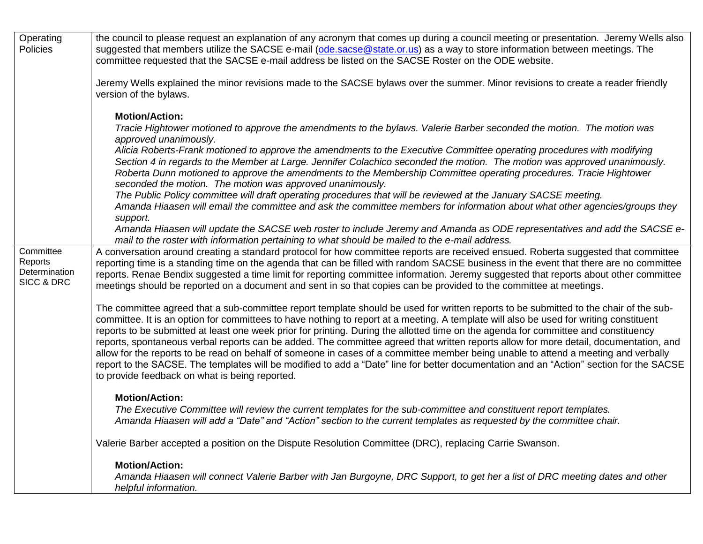| Operating<br>Policies                               | the council to please request an explanation of any acronym that comes up during a council meeting or presentation. Jeremy Wells also<br>suggested that members utilize the SACSE e-mail (ode.sacse@state.or.us) as a way to store information between meetings. The<br>committee requested that the SACSE e-mail address be listed on the SACSE Roster on the ODE website.                                                                                                                                                                                                                                                                                                                                                                                                                                                                                                                                                                                                                                 |
|-----------------------------------------------------|-------------------------------------------------------------------------------------------------------------------------------------------------------------------------------------------------------------------------------------------------------------------------------------------------------------------------------------------------------------------------------------------------------------------------------------------------------------------------------------------------------------------------------------------------------------------------------------------------------------------------------------------------------------------------------------------------------------------------------------------------------------------------------------------------------------------------------------------------------------------------------------------------------------------------------------------------------------------------------------------------------------|
|                                                     | Jeremy Wells explained the minor revisions made to the SACSE bylaws over the summer. Minor revisions to create a reader friendly<br>version of the bylaws.                                                                                                                                                                                                                                                                                                                                                                                                                                                                                                                                                                                                                                                                                                                                                                                                                                                  |
|                                                     | <b>Motion/Action:</b><br>Tracie Hightower motioned to approve the amendments to the bylaws. Valerie Barber seconded the motion. The motion was<br>approved unanimously.<br>Alicia Roberts-Frank motioned to approve the amendments to the Executive Committee operating procedures with modifying<br>Section 4 in regards to the Member at Large. Jennifer Colachico seconded the motion. The motion was approved unanimously.<br>Roberta Dunn motioned to approve the amendments to the Membership Committee operating procedures. Tracie Hightower<br>seconded the motion. The motion was approved unanimously.<br>The Public Policy committee will draft operating procedures that will be reviewed at the January SACSE meeting.<br>Amanda Hiaasen will email the committee and ask the committee members for information about what other agencies/groups they<br>support.<br>Amanda Hiaasen will update the SACSE web roster to include Jeremy and Amanda as ODE representatives and add the SACSE e- |
| Committee<br>Reports<br>Determination<br>SICC & DRC | mail to the roster with information pertaining to what should be mailed to the e-mail address.<br>A conversation around creating a standard protocol for how committee reports are received ensued. Roberta suggested that committee<br>reporting time is a standing time on the agenda that can be filled with random SACSE business in the event that there are no committee<br>reports. Renae Bendix suggested a time limit for reporting committee information. Jeremy suggested that reports about other committee<br>meetings should be reported on a document and sent in so that copies can be provided to the committee at meetings.                                                                                                                                                                                                                                                                                                                                                               |
|                                                     | The committee agreed that a sub-committee report template should be used for written reports to be submitted to the chair of the sub-<br>committee. It is an option for committees to have nothing to report at a meeting. A template will also be used for writing constituent<br>reports to be submitted at least one week prior for printing. During the allotted time on the agenda for committee and constituency<br>reports, spontaneous verbal reports can be added. The committee agreed that written reports allow for more detail, documentation, and<br>allow for the reports to be read on behalf of someone in cases of a committee member being unable to attend a meeting and verbally<br>report to the SACSE. The templates will be modified to add a "Date" line for better documentation and an "Action" section for the SACSE<br>to provide feedback on what is being reported.                                                                                                          |
|                                                     | <b>Motion/Action:</b><br>The Executive Committee will review the current templates for the sub-committee and constituent report templates.<br>Amanda Hiaasen will add a "Date" and "Action" section to the current templates as requested by the committee chair.                                                                                                                                                                                                                                                                                                                                                                                                                                                                                                                                                                                                                                                                                                                                           |
|                                                     | Valerie Barber accepted a position on the Dispute Resolution Committee (DRC), replacing Carrie Swanson.                                                                                                                                                                                                                                                                                                                                                                                                                                                                                                                                                                                                                                                                                                                                                                                                                                                                                                     |
|                                                     | <b>Motion/Action:</b><br>Amanda Hiaasen will connect Valerie Barber with Jan Burgoyne, DRC Support, to get her a list of DRC meeting dates and other<br>helpful information.                                                                                                                                                                                                                                                                                                                                                                                                                                                                                                                                                                                                                                                                                                                                                                                                                                |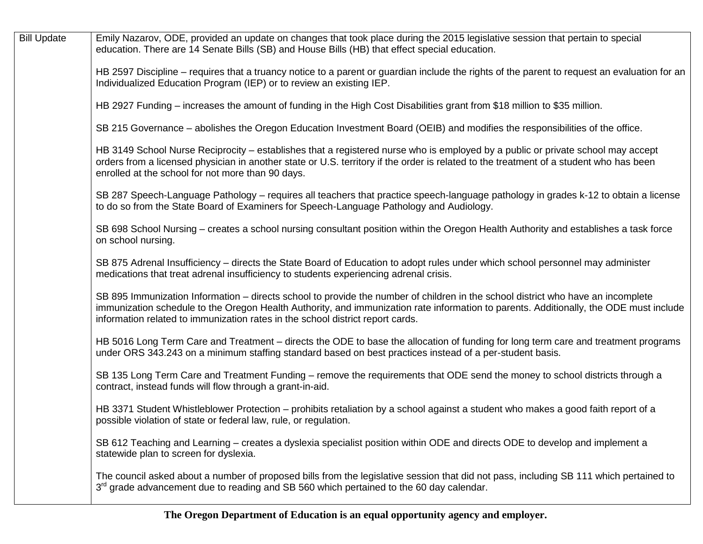| <b>Bill Update</b> | Emily Nazarov, ODE, provided an update on changes that took place during the 2015 legislative session that pertain to special<br>education. There are 14 Senate Bills (SB) and House Bills (HB) that effect special education.                                                                                                                               |
|--------------------|--------------------------------------------------------------------------------------------------------------------------------------------------------------------------------------------------------------------------------------------------------------------------------------------------------------------------------------------------------------|
|                    | HB 2597 Discipline – requires that a truancy notice to a parent or guardian include the rights of the parent to request an evaluation for an<br>Individualized Education Program (IEP) or to review an existing IEP.                                                                                                                                         |
|                    | HB 2927 Funding – increases the amount of funding in the High Cost Disabilities grant from \$18 million to \$35 million.                                                                                                                                                                                                                                     |
|                    | SB 215 Governance – abolishes the Oregon Education Investment Board (OEIB) and modifies the responsibilities of the office.                                                                                                                                                                                                                                  |
|                    | HB 3149 School Nurse Reciprocity – establishes that a registered nurse who is employed by a public or private school may accept<br>orders from a licensed physician in another state or U.S. territory if the order is related to the treatment of a student who has been<br>enrolled at the school for not more than 90 days.                               |
|                    | SB 287 Speech-Language Pathology – requires all teachers that practice speech-language pathology in grades k-12 to obtain a license<br>to do so from the State Board of Examiners for Speech-Language Pathology and Audiology.                                                                                                                               |
|                    | SB 698 School Nursing – creates a school nursing consultant position within the Oregon Health Authority and establishes a task force<br>on school nursing.                                                                                                                                                                                                   |
|                    | SB 875 Adrenal Insufficiency – directs the State Board of Education to adopt rules under which school personnel may administer<br>medications that treat adrenal insufficiency to students experiencing adrenal crisis.                                                                                                                                      |
|                    | SB 895 Immunization Information – directs school to provide the number of children in the school district who have an incomplete<br>immunization schedule to the Oregon Health Authority, and immunization rate information to parents. Additionally, the ODE must include<br>information related to immunization rates in the school district report cards. |
|                    | HB 5016 Long Term Care and Treatment – directs the ODE to base the allocation of funding for long term care and treatment programs<br>under ORS 343.243 on a minimum staffing standard based on best practices instead of a per-student basis.                                                                                                               |
|                    | SB 135 Long Term Care and Treatment Funding – remove the requirements that ODE send the money to school districts through a<br>contract, instead funds will flow through a grant-in-aid.                                                                                                                                                                     |
|                    | HB 3371 Student Whistleblower Protection – prohibits retaliation by a school against a student who makes a good faith report of a<br>possible violation of state or federal law, rule, or regulation.                                                                                                                                                        |
|                    | SB 612 Teaching and Learning – creates a dyslexia specialist position within ODE and directs ODE to develop and implement a<br>statewide plan to screen for dyslexia.                                                                                                                                                                                        |
|                    | The council asked about a number of proposed bills from the legislative session that did not pass, including SB 111 which pertained to<br>3 <sup>rd</sup> grade advancement due to reading and SB 560 which pertained to the 60 day calendar.                                                                                                                |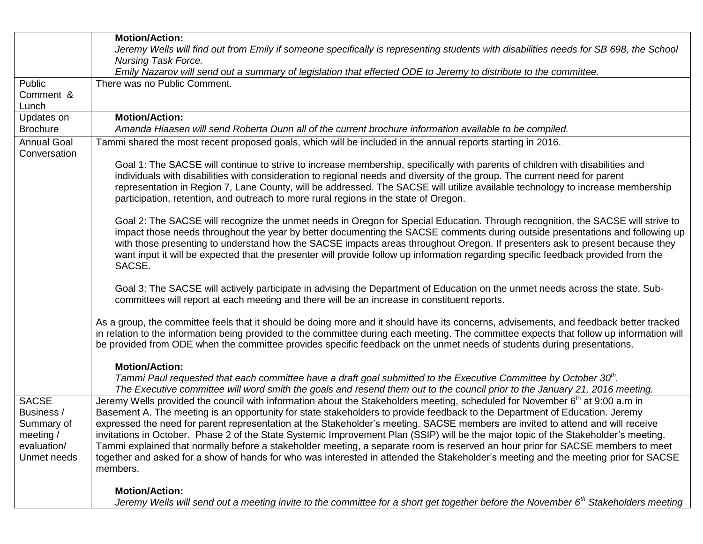|                                                                                       | <b>Motion/Action:</b>                                                                                                                                                                                                                                                                                                                                                                                                                                                                                                                                                                                                                                                                                                                                                                                                                   |
|---------------------------------------------------------------------------------------|-----------------------------------------------------------------------------------------------------------------------------------------------------------------------------------------------------------------------------------------------------------------------------------------------------------------------------------------------------------------------------------------------------------------------------------------------------------------------------------------------------------------------------------------------------------------------------------------------------------------------------------------------------------------------------------------------------------------------------------------------------------------------------------------------------------------------------------------|
|                                                                                       | Jeremy Wells will find out from Emily if someone specifically is representing students with disabilities needs for SB 698, the School                                                                                                                                                                                                                                                                                                                                                                                                                                                                                                                                                                                                                                                                                                   |
|                                                                                       | <b>Nursing Task Force.</b>                                                                                                                                                                                                                                                                                                                                                                                                                                                                                                                                                                                                                                                                                                                                                                                                              |
|                                                                                       | Emily Nazarov will send out a summary of legislation that effected ODE to Jeremy to distribute to the committee.                                                                                                                                                                                                                                                                                                                                                                                                                                                                                                                                                                                                                                                                                                                        |
| Public                                                                                | There was no Public Comment.                                                                                                                                                                                                                                                                                                                                                                                                                                                                                                                                                                                                                                                                                                                                                                                                            |
| Comment &                                                                             |                                                                                                                                                                                                                                                                                                                                                                                                                                                                                                                                                                                                                                                                                                                                                                                                                                         |
| Lunch                                                                                 |                                                                                                                                                                                                                                                                                                                                                                                                                                                                                                                                                                                                                                                                                                                                                                                                                                         |
| Updates on                                                                            | <b>Motion/Action:</b>                                                                                                                                                                                                                                                                                                                                                                                                                                                                                                                                                                                                                                                                                                                                                                                                                   |
| <b>Brochure</b>                                                                       | Amanda Hiaasen will send Roberta Dunn all of the current brochure information available to be compiled.                                                                                                                                                                                                                                                                                                                                                                                                                                                                                                                                                                                                                                                                                                                                 |
| <b>Annual Goal</b><br>Conversation                                                    | Tammi shared the most recent proposed goals, which will be included in the annual reports starting in 2016.                                                                                                                                                                                                                                                                                                                                                                                                                                                                                                                                                                                                                                                                                                                             |
|                                                                                       | Goal 1: The SACSE will continue to strive to increase membership, specifically with parents of children with disabilities and<br>individuals with disabilities with consideration to regional needs and diversity of the group. The current need for parent<br>representation in Region 7, Lane County, will be addressed. The SACSE will utilize available technology to increase membership<br>participation, retention, and outreach to more rural regions in the state of Oregon.                                                                                                                                                                                                                                                                                                                                                   |
|                                                                                       | Goal 2: The SACSE will recognize the unmet needs in Oregon for Special Education. Through recognition, the SACSE will strive to<br>impact those needs throughout the year by better documenting the SACSE comments during outside presentations and following up<br>with those presenting to understand how the SACSE impacts areas throughout Oregon. If presenters ask to present because they<br>want input it will be expected that the presenter will provide follow up information regarding specific feedback provided from the<br>SACSE.                                                                                                                                                                                                                                                                                        |
|                                                                                       | Goal 3: The SACSE will actively participate in advising the Department of Education on the unmet needs across the state. Sub-<br>committees will report at each meeting and there will be an increase in constituent reports.                                                                                                                                                                                                                                                                                                                                                                                                                                                                                                                                                                                                           |
|                                                                                       | As a group, the committee feels that it should be doing more and it should have its concerns, advisements, and feedback better tracked<br>in relation to the information being provided to the committee during each meeting. The committee expects that follow up information will<br>be provided from ODE when the committee provides specific feedback on the unmet needs of students during presentations.                                                                                                                                                                                                                                                                                                                                                                                                                          |
|                                                                                       | <b>Motion/Action:</b>                                                                                                                                                                                                                                                                                                                                                                                                                                                                                                                                                                                                                                                                                                                                                                                                                   |
|                                                                                       | Tammi Paul requested that each committee have a draft goal submitted to the Executive Committee by October $30th$ .<br>The Executive committee will word smith the goals and resend them out to the council prior to the January 21, 2016 meeting.                                                                                                                                                                                                                                                                                                                                                                                                                                                                                                                                                                                      |
| <b>SACSE</b><br>Business /<br>Summary of<br>meeting $/$<br>evaluation/<br>Unmet needs | Jeremy Wells provided the council with information about the Stakeholders meeting, scheduled for November 6 <sup>th</sup> at 9:00 a.m in<br>Basement A. The meeting is an opportunity for state stakeholders to provide feedback to the Department of Education. Jeremy<br>expressed the need for parent representation at the Stakeholder's meeting. SACSE members are invited to attend and will receive<br>invitations in October. Phase 2 of the State Systemic Improvement Plan (SSIP) will be the major topic of the Stakeholder's meeting.<br>Tammi explained that normally before a stakeholder meeting, a separate room is reserved an hour prior for SACSE members to meet<br>together and asked for a show of hands for who was interested in attended the Stakeholder's meeting and the meeting prior for SACSE<br>members. |
|                                                                                       | <b>Motion/Action:</b><br>Jeremy Wells will send out a meeting invite to the committee for a short get together before the November 6 <sup>th</sup> Stakeholders meeting                                                                                                                                                                                                                                                                                                                                                                                                                                                                                                                                                                                                                                                                 |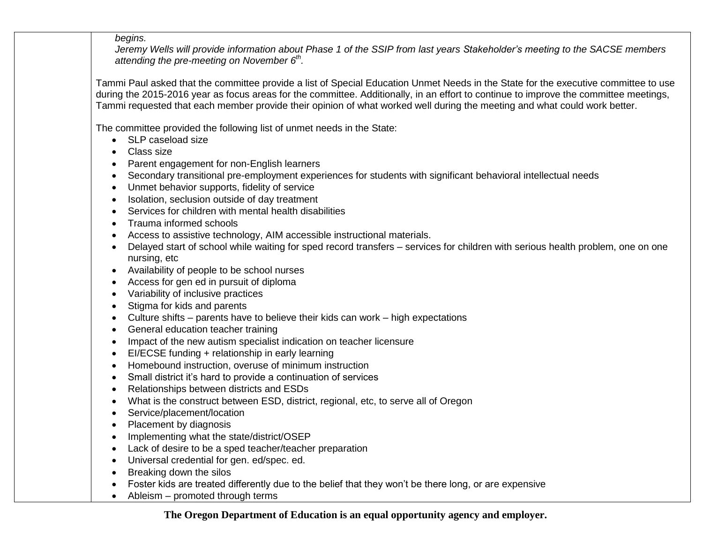*begins.* 

*Jeremy Wells will provide information about Phase 1 of the SSIP from last years Stakeholder's meeting to the SACSE members attending the pre-meeting on November 6th .* 

Tammi Paul asked that the committee provide a list of Special Education Unmet Needs in the State for the executive committee to use during the 2015-2016 year as focus areas for the committee. Additionally, in an effort to continue to improve the committee meetings, Tammi requested that each member provide their opinion of what worked well during the meeting and what could work better.

The committee provided the following list of unmet needs in the State:

- SLP caseload size
- Class size
- Parent engagement for non-English learners
- Secondary transitional pre-employment experiences for students with significant behavioral intellectual needs
- Unmet behavior supports, fidelity of service
- Isolation, seclusion outside of day treatment
- Services for children with mental health disabilities
- Trauma informed schools
- Access to assistive technology, AIM accessible instructional materials.
- Delayed start of school while waiting for sped record transfers services for children with serious health problem, one on one nursing, etc
- Availability of people to be school nurses
- Access for gen ed in pursuit of diploma
- Variability of inclusive practices
- Stigma for kids and parents
- Culture shifts parents have to believe their kids can work high expectations
- General education teacher training
- Impact of the new autism specialist indication on teacher licensure
- EI/ECSE funding + relationship in early learning
- Homebound instruction, overuse of minimum instruction
- Small district it's hard to provide a continuation of services
- Relationships between districts and ESDs
- What is the construct between ESD, district, regional, etc, to serve all of Oregon
- Service/placement/location
- Placement by diagnosis
- Implementing what the state/district/OSEP
- Lack of desire to be a sped teacher/teacher preparation
- Universal credential for gen. ed/spec. ed.
- Breaking down the silos
- Foster kids are treated differently due to the belief that they won't be there long, or are expensive
- Ableism promoted through terms

**The Oregon Department of Education is an equal opportunity agency and employer.**